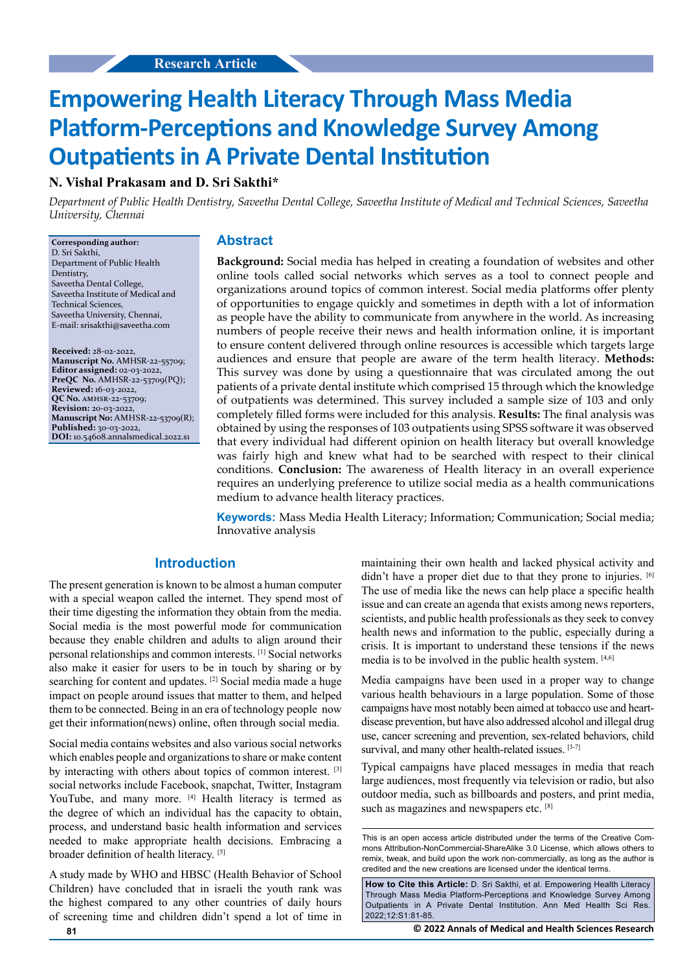# **Empowering Health Literacy Through Mass Media Platform-Perceptions and Knowledge Survey Among Outpatients in A Private Dental Institution**

# **N. Vishal Prakasam and D. Sri Sakthi\***

*Department of Public Health Dentistry, Saveetha Dental College, Saveetha Institute of Medical and Technical Sciences, Saveetha University, Chennai*

**Corresponding author:** D. Sri Sakthi, Department of Public Health Dentistry, Saveetha Dental College, Saveetha Institute of Medical and Technical Sciences, Saveetha University, Chennai, E-mail: srisakthi@saveetha.com

**Received:** 28-02-2022, **Manuscript No.** AMHSR-22-55709; **Editor assigned:** 02-03-2022, **PreQC No.** AMHSR-22-53709(PQ); **Reviewed:** 16-03-2022, **QC No.** amhsr-22-53709; **Revision:** 20-03-2022, **Manuscript No:** AMHSR-22-53709(R); **Published:** 30-03-2022, **DOI:** 10.54608.annalsmedical.2022.s1

### **Abstract**

**Background:** Social media has helped in creating a foundation of websites and other online tools called social networks which serves as a tool to connect people and organizations around topics of common interest. Social media platforms offer plenty of opportunities to engage quickly and sometimes in depth with a lot of information as people have the ability to communicate from anywhere in the world. As increasing numbers of people receive their news and health information online, it is important to ensure content delivered through online resources is accessible which targets large audiences and ensure that people are aware of the term health literacy. **Methods:** This survey was done by using a questionnaire that was circulated among the out patients of a private dental institute which comprised 15 through which the knowledge of outpatients was determined. This survey included a sample size of 103 and only completely filled forms were included for this analysis. **Results:** The final analysis was obtained by using the responses of 103 outpatients using SPSS software it was observed that every individual had different opinion on health literacy but overall knowledge was fairly high and knew what had to be searched with respect to their clinical conditions. **Conclusion:** The awareness of Health literacy in an overall experience requires an underlying preference to utilize social media as a health communications medium to advance health literacy practices.

**Keywords:** Mass Media Health Literacy; Information; Communication; Social media; Innovative analysis

## **Introduction**

The present generation is known to be almost a human computer with a special weapon called the internet. They spend most of their time digesting the information they obtain from the media. Social media is the most powerful mode for communication because they enable children and adults to align around their personal relationships and common interests. [1] Social networks also make it easier for users to be in touch by sharing or by searching for content and updates. <sup>[2]</sup> Social media made a huge impact on people around issues that matter to them, and helped them to be connected. Being in an era of technology people now get their information(news) online, often through social media.

Social media contains websites and also various social networks which enables people and organizations to share or make content by interacting with others about topics of common interest. [3] social networks include Facebook, snapchat, Twitter, Instagram YouTube, and many more. [4] Health literacy is termed as the degree of which an individual has the capacity to obtain, process, and understand basic health information and services needed to make appropriate health decisions. Embracing a broader definition of health literacy. [5]

A study made by WHO and HBSC (Health Behavior of School Children) have concluded that in israeli the youth rank was the highest compared to any other countries of daily hours of screening time and children didn't spend a lot of time in maintaining their own health and lacked physical activity and didn't have a proper diet due to that they prone to injuries. [6] The use of media like the news can help place a specific health issue and can create an agenda that exists among news reporters, scientists, and public health professionals as they seek to convey health news and information to the public, especially during a crisis. It is important to understand these tensions if the news media is to be involved in the public health system. [4,6]

Media campaigns have been used in a proper way to change various health behaviours in a large population. Some of those campaigns have most notably been aimed at tobacco use and heartdisease prevention, but have also addressed alcohol and illegal drug use, cancer screening and prevention, sex-related behaviors, child survival, and many other health-related issues. [3-7]

Typical campaigns have placed messages in media that reach large audiences, most frequently via television or radio, but also outdoor media, such as billboards and posters, and print media, such as magazines and newspapers etc. [8]

This is an open access article distributed under the terms of the Creative Commons Attribution‑NonCommercial‑ShareAlike 3.0 License, which allows others to remix, tweak, and build upon the work non‑commercially, as long as the author is credited and the new creations are licensed under the identical terms.

**How to Cite this Article:** D. Sri Sakthi, et al. Empowering Health Literacy Through Mass Media Platform-Perceptions and Knowledge Survey Among Outpatients in A Private Dental Institution. Ann Med Health Sci Res. 2022;12:S1:81-85.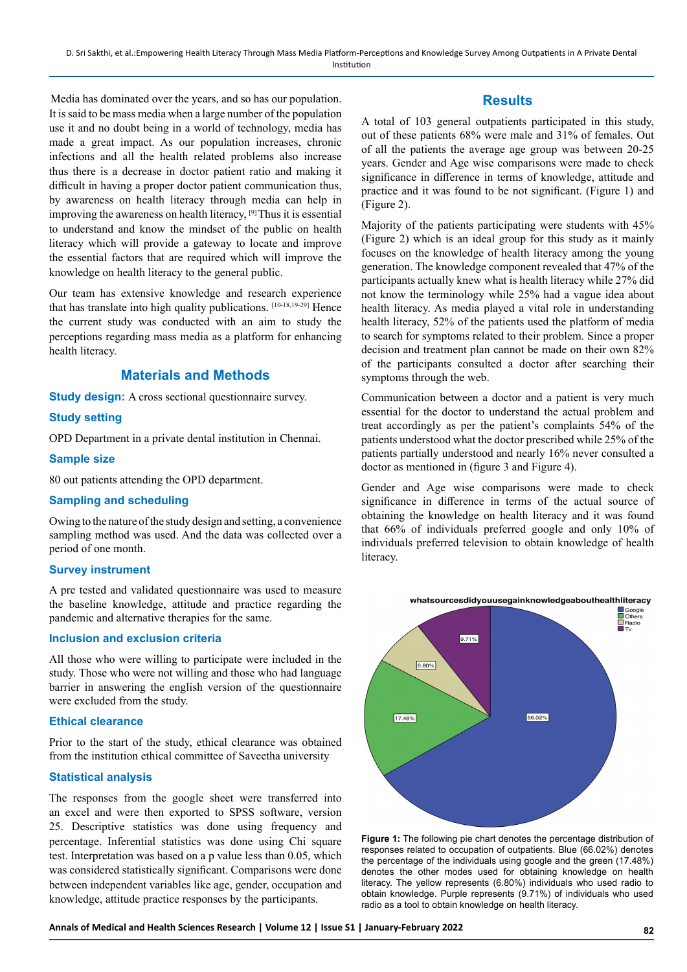Media has dominated over the years, and so has our population. It is said to be mass media when a large number of the population use it and no doubt being in a world of technology, media has made a great impact. As our population increases, chronic infections and all the health related problems also increase thus there is a decrease in doctor patient ratio and making it difficult in having a proper doctor patient communication thus, by awareness on health literacy through media can help in improving the awareness on health literacy, [9] Thus it is essential to understand and know the mindset of the public on health literacy which will provide a gateway to locate and improve the essential factors that are required which will improve the knowledge on health literacy to the general public.

Our team has extensive knowledge and research experience that has translate into high quality publications. [10-18,19-29] Hence the current study was conducted with an aim to study the perceptions regarding mass media as a platform for enhancing health literacy.

## **Materials and Methods**

**Study design:** A cross sectional questionnaire survey.

## **Study setting**

OPD Department in a private dental institution in Chennai.

#### **Sample size**

80 out patients attending the OPD department.

## **Sampling and scheduling**

Owing to the nature of the study design and setting, a convenience sampling method was used. And the data was collected over a period of one month.

#### **Survey instrument**

A pre tested and validated questionnaire was used to measure the baseline knowledge, attitude and practice regarding the pandemic and alternative therapies for the same.

## **Inclusion and exclusion criteria**

All those who were willing to participate were included in the study. Those who were not willing and those who had language barrier in answering the english version of the questionnaire were excluded from the study.

#### **Ethical clearance**

Prior to the start of the study, ethical clearance was obtained from the institution ethical committee of Saveetha university

## **Statistical analysis**

The responses from the google sheet were transferred into an excel and were then exported to SPSS software, version 25. Descriptive statistics was done using frequency and percentage. Inferential statistics was done using Chi square test. Interpretation was based on a p value less than 0.05, which was considered statistically significant. Comparisons were done between independent variables like age, gender, occupation and knowledge, attitude practice responses by the participants.

## **Results**

A total of 103 general outpatients participated in this study, out of these patients 68% were male and 31% of females. Out of all the patients the average age group was between 20-25 years. Gender and Age wise comparisons were made to check significance in difference in terms of knowledge, attitude and practice and it was found to be not significant. (Figure 1) and (Figure 2).

Majority of the patients participating were students with 45% (Figure 2) which is an ideal group for this study as it mainly focuses on the knowledge of health literacy among the young generation. The knowledge component revealed that 47% of the participants actually knew what is health literacy while 27% did not know the terminology while 25% had a vague idea about health literacy. As media played a vital role in understanding health literacy, 52% of the patients used the platform of media to search for symptoms related to their problem. Since a proper decision and treatment plan cannot be made on their own 82% of the participants consulted a doctor after searching their symptoms through the web.

Communication between a doctor and a patient is very much essential for the doctor to understand the actual problem and treat accordingly as per the patient's complaints 54% of the patients understood what the doctor prescribed while 25% of the patients partially understood and nearly 16% never consulted a doctor as mentioned in (figure 3 and Figure 4).

Gender and Age wise comparisons were made to check significance in difference in terms of the actual source of obtaining the knowledge on health literacy and it was found that 66% of individuals preferred google and only 10% of individuals preferred television to obtain knowledge of health literacy.



**Figure 1:** The following pie chart denotes the percentage distribution of responses related to occupation of outpatients. Blue (66.02%) denotes the percentage of the individuals using google and the green (17.48%) denotes the other modes used for obtaining knowledge on health literacy. The yellow represents (6.80%) individuals who used radio to obtain knowledge. Purple represents (9.71%) of individuals who used radio as a tool to obtain knowledge on health literacy.

**Annals of Medical and Health Sciences Research | Volume 12 | Issue S1 | January-February 2022 82**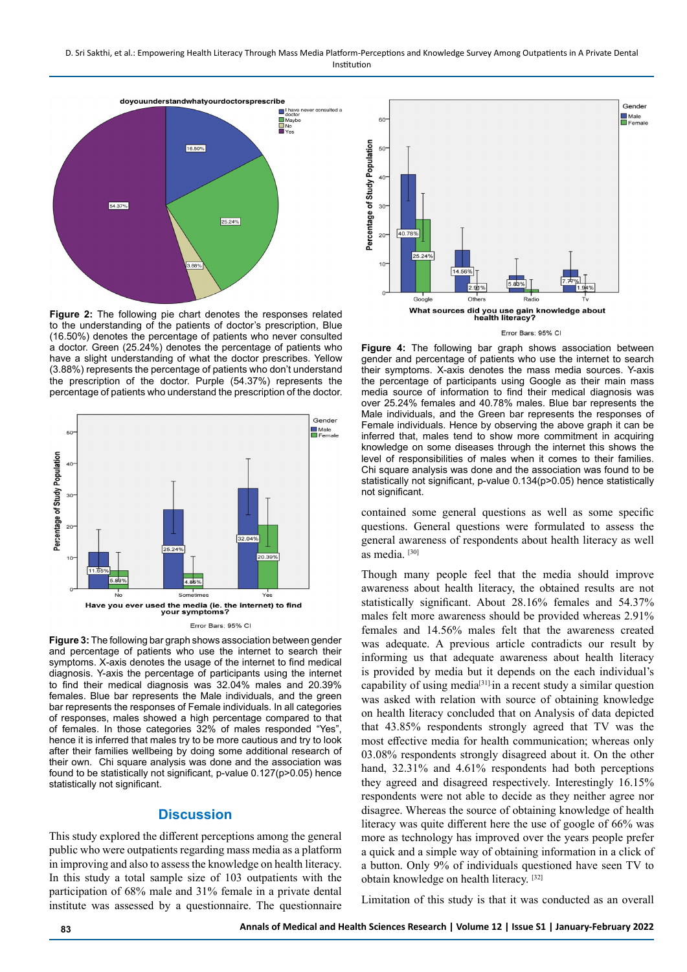D. Sri Sakthi, et al.: Empowering Health Literacy Through Mass Media Platform-Perceptions and Knowledge Survey Among Outpatients in A Private Dental Institution



**Figure 2:** The following pie chart denotes the responses related to the understanding of the patients of doctor's prescription, Blue (16.50%) denotes the percentage of patients who never consulted a doctor. Green (25.24%) denotes the percentage of patients who have a slight understanding of what the doctor prescribes. Yellow (3.88%) represents the percentage of patients who don't understand the prescription of the doctor. Purple (54.37%) represents the percentage of patients who understand the prescription of the doctor.





**Figure 3:** The following bar graph shows association between gender and percentage of patients who use the internet to search their symptoms. X-axis denotes the usage of the internet to find medical diagnosis. Y-axis the percentage of participants using the internet to find their medical diagnosis was 32.04% males and 20.39% females. Blue bar represents the Male individuals, and the green bar represents the responses of Female individuals. In all categories of responses, males showed a high percentage compared to that of females. In those categories 32% of males responded "Yes", hence it is inferred that males try to be more cautious and try to look after their families wellbeing by doing some additional research of their own. Chi square analysis was done and the association was found to be statistically not significant, p-value 0.127(p>0.05) hence statistically not significant.

## **Discussion**

This study explored the different perceptions among the general public who were outpatients regarding mass media as a platform in improving and also to assess the knowledge on health literacy. In this study a total sample size of 103 outpatients with the participation of 68% male and 31% female in a private dental institute was assessed by a questionnaire. The questionnaire



**Figure 4:** The following bar graph shows association between gender and percentage of patients who use the internet to search their symptoms. X-axis denotes the mass media sources. Y-axis the percentage of participants using Google as their main mass media source of information to find their medical diagnosis was over 25.24% females and 40.78% males. Blue bar represents the Male individuals, and the Green bar represents the responses of Female individuals. Hence by observing the above graph it can be inferred that, males tend to show more commitment in acquiring knowledge on some diseases through the internet this shows the level of responsibilities of males when it comes to their families. Chi square analysis was done and the association was found to be statistically not significant, p-value 0.134(p>0.05) hence statistically not significant.

contained some general questions as well as some specific questions. General questions were formulated to assess the general awareness of respondents about health literacy as well as media. [30]

Though many people feel that the media should improve awareness about health literacy, the obtained results are not statistically significant. About 28.16% females and 54.37% males felt more awareness should be provided whereas 2.91% females and 14.56% males felt that the awareness created was adequate. A previous article contradicts our result by informing us that adequate awareness about health literacy is provided by media but it depends on the each individual's capability of using media[31].in a recent study a similar question was asked with relation with source of obtaining knowledge on health literacy concluded that on Analysis of data depicted that 43.85% respondents strongly agreed that TV was the most effective media for health communication; whereas only 03.08% respondents strongly disagreed about it. On the other hand, 32.31% and 4.61% respondents had both perceptions they agreed and disagreed respectively. Interestingly 16.15% respondents were not able to decide as they neither agree nor disagree. Whereas the source of obtaining knowledge of health literacy was quite different here the use of google of 66% was more as technology has improved over the years people prefer a quick and a simple way of obtaining information in a click of a button. Only 9% of individuals questioned have seen TV to obtain knowledge on health literacy. [32]

Limitation of this study is that it was conducted as an overall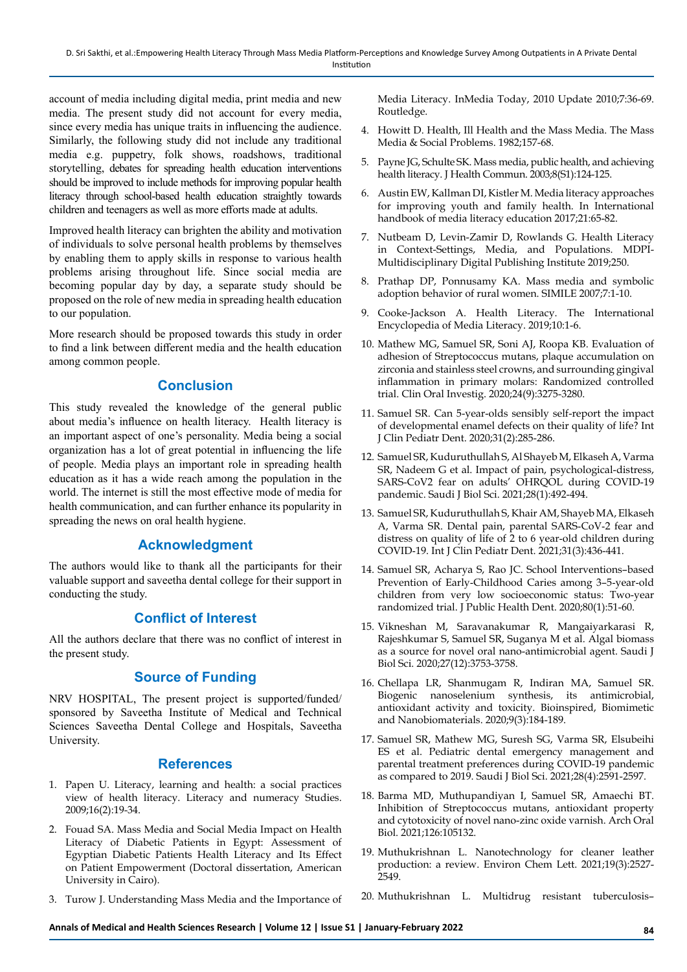account of media including digital media, print media and new media. The present study did not account for every media, since every media has unique traits in influencing the audience. Similarly, the following study did not include any traditional media e.g. puppetry, folk shows, roadshows, traditional storytelling, debates for spreading health education interventions should be improved to include methods for improving popular health literacy through school-based health education straightly towards children and teenagers as well as more efforts made at adults.

Improved health literacy can brighten the ability and motivation of individuals to solve personal health problems by themselves by enabling them to apply skills in response to various health problems arising throughout life. Since social media are becoming popular day by day, a separate study should be proposed on the role of new media in spreading health education to our population.

More research should be proposed towards this study in order to find a link between different media and the health education among common people.

## **Conclusion**

This study revealed the knowledge of the general public about media's influence on health literacy. Health literacy is an important aspect of one's personality. Media being a social organization has a lot of great potential in influencing the life of people. Media plays an important role in spreading health education as it has a wide reach among the population in the world. The internet is still the most effective mode of media for health communication, and can further enhance its popularity in spreading the news on oral health hygiene.

# **Acknowledgment**

The authors would like to thank all the participants for their valuable support and saveetha dental college for their support in conducting the study.

# **Conflict of Interest**

All the authors declare that there was no conflict of interest in the present study.

# **Source of Funding**

NRV HOSPITAL, The present project is supported/funded/ sponsored by Saveetha Institute of Medical and Technical Sciences Saveetha Dental College and Hospitals, Saveetha University.

## **References**

- 1. Papen U. [Literacy, learning and health: a social practices](https://search.informit.org/doi/abs/10.3316/aeipt.179045) [view of health literacy. Literacy and numeracy Studies.](https://search.informit.org/doi/abs/10.3316/aeipt.179045) 2009;16(2):19-34.
- 2. Fouad SA. [Mass Media and Social Media Impact on Health](https://books.google.co.in/books/about/Mass_Media_and_Social_Media_Impact_on_He.html?hl=&id=8SHXvQEACAAJ&redir_esc=y) [Literacy of Diabetic Patients in Egypt: Assessment of](https://books.google.co.in/books/about/Mass_Media_and_Social_Media_Impact_on_He.html?hl=&id=8SHXvQEACAAJ&redir_esc=y) [Egyptian Diabetic Patients Health Literacy and Its Effect](https://books.google.co.in/books/about/Mass_Media_and_Social_Media_Impact_on_He.html?hl=&id=8SHXvQEACAAJ&redir_esc=y) [on Patient Empowerment](https://books.google.co.in/books/about/Mass_Media_and_Social_Media_Impact_on_He.html?hl=&id=8SHXvQEACAAJ&redir_esc=y) (Doctoral dissertation, American University in Cairo).
- 3. Turow J. [Understanding Mass Media and the Importance of](https://www.taylorfrancis.com/chapters/mono/10.4324/9780203852101-12/understanding-mass-media-importance-media-literacy-joseph-turow)

[Media Literacy.](https://www.taylorfrancis.com/chapters/mono/10.4324/9780203852101-12/understanding-mass-media-importance-media-literacy-joseph-turow) InMedia Today, 2010 Update 2010;7:36-69. Routledge.

- 4. Howitt D. [Health, Ill Health and the Mass Media.](https://www.sciencedirect.com/science/article/pii/B9780080289182500173?via%3Dihub) The Mass Media & Social Problems. 1982;157-68.
- 5. Payne JG, [Schulte SK. Mass media, public health, and achieving](https://www.tandfonline.com/doi/abs/10.1080/713851972?journalCode=uhcm20)  [health literacy](https://www.tandfonline.com/doi/abs/10.1080/713851972?journalCode=uhcm20). J Health Commun. 2003;8(S1):124-125.
- 6. Austin EW, Kallman DI, Kistler M. [Media literacy approaches](https://books.google.co.in/books?hl=en&lr=&id=cCMlDwAAQBAJ&oi=fnd&pg=PA65&dq=Austin+EW,+Kallman+DI,+Kistler+M.+Media+Literacy+Approaches+for+Improving+Youth+and+Family+Health+%5BInternet%5D.+International+Handbook+of+Media+Literacy+Education.+2017.+p.+65%E2%80%9382.+&ots=uzVRYw-ZsG&sig=VvZ4JXDT6gEqYVZO1n60GdvslfQ&redir_esc=y#v=onepage&q&f=false)  [for improving youth and family health.](https://books.google.co.in/books?hl=en&lr=&id=cCMlDwAAQBAJ&oi=fnd&pg=PA65&dq=Austin+EW,+Kallman+DI,+Kistler+M.+Media+Literacy+Approaches+for+Improving+Youth+and+Family+Health+%5BInternet%5D.+International+Handbook+of+Media+Literacy+Education.+2017.+p.+65%E2%80%9382.+&ots=uzVRYw-ZsG&sig=VvZ4JXDT6gEqYVZO1n60GdvslfQ&redir_esc=y#v=onepage&q&f=false) In International handbook of media literacy education 2017;21:65-82.
- 7. Nutbeam D, Levin-Zamir D, Rowlands G. [Health Literacy](https://www.mdpi.com/books/pdfdownload/book/1104)  [in Context-Settings, Media, and Populations](https://www.mdpi.com/books/pdfdownload/book/1104). MDPI-Multidisciplinary Digital Publishing Institute 2019;250.
- 8. Prathap DP, Ponnusamy KA. [Mass media and symbolic](https://papers.ssrn.com/sol3/papers.cfm?abstract_id=1731467)  [adoption behavior of rural women](https://papers.ssrn.com/sol3/papers.cfm?abstract_id=1731467). SIMILE 2007;7:1-10.
- 9. Cooke-Jackson A. [Health Literacy. The International](https://www.researchgate.net/profile/Angela-Cooke-Jackson/publication/332991622_Health_Literacy/links/5e5415c44585158f40eb51cc/Health-Literacy.pdf)  [Encyclopedia of Media Literacy.](https://www.researchgate.net/profile/Angela-Cooke-Jackson/publication/332991622_Health_Literacy/links/5e5415c44585158f40eb51cc/Health-Literacy.pdf) 2019;10:1-6.
- 10. Mathew MG, Samuel SR, Soni AJ, Roopa KB. [Evaluation of](https://link.springer.com/article/10.1007/s00784-020-03204-9)  [adhesion of Streptococcus mutans, plaque accumulation on](https://link.springer.com/article/10.1007/s00784-020-03204-9)  [zirconia and stainless steel crowns, and surrounding gingival](https://link.springer.com/article/10.1007/s00784-020-03204-9)  [inflammation in primary molars: Randomized controlled](https://link.springer.com/article/10.1007/s00784-020-03204-9)  [trial.](https://link.springer.com/article/10.1007/s00784-020-03204-9) Clin Oral Investig. 2020;24(9):3275-3280.
- 11. Samuel SR. [Can 5-year-olds sensibly self-report the impact](https://europepmc.org/article/med/32416620)  [of developmental enamel defects on their quality of life](https://europepmc.org/article/med/32416620)? Int J Clin Pediatr Dent. 2020;31(2):285-286.
- 12. Samuel SR, Kuduruthullah S, Al Shayeb M, Elkaseh A, Varma SR, Nadeem G et al. [Impact of pain, psychological-distress,](https://www.sciencedirect.com/science/article/pii/S1319562X20305179)  [SARS-CoV2 fear on adults' OHRQOL during COVID-19](https://www.sciencedirect.com/science/article/pii/S1319562X20305179)  [pandemic.](https://www.sciencedirect.com/science/article/pii/S1319562X20305179) Saudi J Biol Sci. 2021;28(1):492-494.
- 13. Samuel SR, Kuduruthullah S, Khair AM, Shayeb MA, Elkaseh A, Varma SR. [Dental pain, parental SARS](https://onlinelibrary.wiley.com/doi/full/10.1111/ipd.12757)‐CoV‐2 fear and [distress on quality of life of 2 to 6 year](https://onlinelibrary.wiley.com/doi/full/10.1111/ipd.12757)‐old children during [COVID](https://onlinelibrary.wiley.com/doi/full/10.1111/ipd.12757)‐19. Int J Clin Pediatr Dent. 2021;31(3):436-441.
- 14. Samuel SR, Acharya S, Rao JC. [School Interventions–based](https://onlinelibrary.wiley.com/doi/abs/10.1111/jphd.12348)  Prevention of Early‐[Childhood Caries among 3–5](https://onlinelibrary.wiley.com/doi/abs/10.1111/jphd.12348)‐year‐old [children from very low socioeconomic status: Two](https://onlinelibrary.wiley.com/doi/abs/10.1111/jphd.12348)‐year [randomized trial](https://onlinelibrary.wiley.com/doi/abs/10.1111/jphd.12348). J Public Health Dent. 2020;80(1):51-60.
- 15. Vikneshan M, Saravanakumar R, Mangaiyarkarasi R, Rajeshkumar S, Samuel SR, Suganya M et al. [Algal biomass](https://www.sciencedirect.com/science/article/pii/S1319562X20303697)  [as a source for novel oral nano-antimicrobial agent.](https://www.sciencedirect.com/science/article/pii/S1319562X20303697) Saudi J Biol Sci. 2020;27(12):3753-3758.
- 16. Chellapa LR, Shanmugam R, Indiran MA, Samuel SR. [Biogenic nanoselenium synthesis, its antimicrobial,](https://www.icevirtuallibrary.com/doi/abs/10.1680/jbibn.19.00054)  [antioxidant activity and toxicity. Bioinspired, Biomimetic](https://www.icevirtuallibrary.com/doi/abs/10.1680/jbibn.19.00054)  [and Nanobiomaterials](https://www.icevirtuallibrary.com/doi/abs/10.1680/jbibn.19.00054). 2020;9(3):184-189.
- 17. Samuel SR, Mathew MG, Suresh SG, Varma SR, Elsubeihi ES et al. [Pediatric dental emergency management and](https://www.sciencedirect.com/science/article/pii/S1319562X21000735)  [parental treatment preferences during COVID-19 pandemic](https://www.sciencedirect.com/science/article/pii/S1319562X21000735)  [as compared to 2019](https://www.sciencedirect.com/science/article/pii/S1319562X21000735). Saudi J Biol Sci. 2021;28(4):2591-2597.
- 18. Barma MD, Muthupandiyan I, Samuel SR, Amaechi BT. [Inhibition of Streptococcus mutans, antioxidant property](https://www.sciencedirect.com/science/article/abs/pii/S0003996921000959)  [and cytotoxicity of novel nano-zinc oxide varnish.](https://www.sciencedirect.com/science/article/abs/pii/S0003996921000959) Arch Oral Biol. 2021;126:105132.
- 19. Muthukrishnan L. [Nanotechnology for cleaner leather](https://link.springer.com/article/10.1007/s10311-020-01172-w)  [production: a review](https://link.springer.com/article/10.1007/s10311-020-01172-w). Environ Chem Lett. 2021;19(3):2527- 2549.
- 20. Muthukrishnan L. [Multidrug resistant tuberculosis–](https://www.sciencedirect.com/science/article/abs/pii/S0009279721000338)